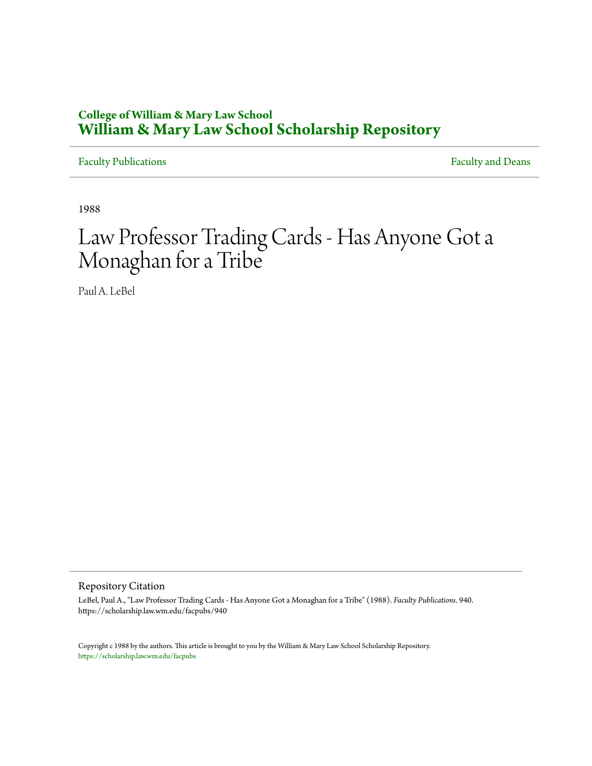### **College of William & Mary Law School [William & Mary Law School Scholarship Repository](https://scholarship.law.wm.edu)**

[Faculty Publications](https://scholarship.law.wm.edu/facpubs) **Faculty** and Deans

1988

# Law Professor Trading Cards - Has Anyone Got a Monaghan for a Tribe

Paul A. LeBel

Repository Citation

LeBel, Paul A., "Law Professor Trading Cards - Has Anyone Got a Monaghan for a Tribe" (1988). *Faculty Publications*. 940. https://scholarship.law.wm.edu/facpubs/940

Copyright c 1988 by the authors. This article is brought to you by the William & Mary Law School Scholarship Repository. <https://scholarship.law.wm.edu/facpubs>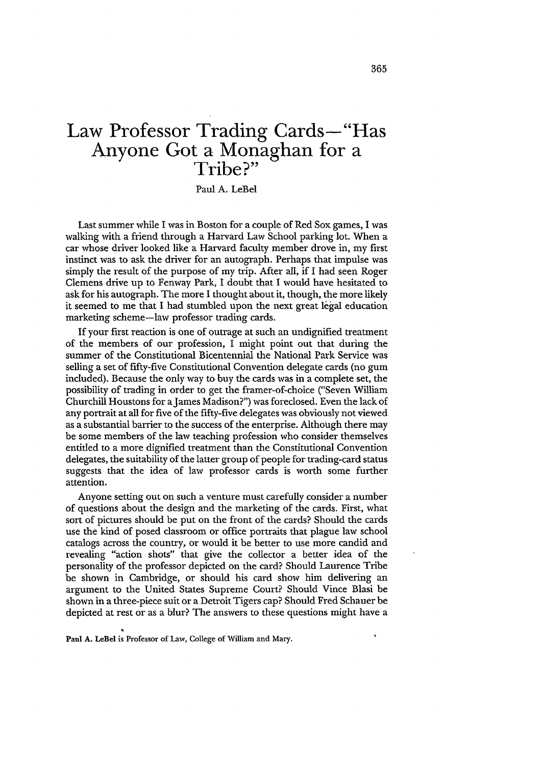## **Law Professor Trading Cards-"Has Anyone Got a Monaghan for a Tribe?"**

Paul A. LeBel

Last summer while I was in Boston for a couple of Red Sox games, I was walking with a friend through a Harvard Law School parking lot. When a car whose driver looked like a Harvard faculty member drove in, my first instinct was to ask the driver for an autograph. Perhaps that impulse was simply the result of the purpose of my trip. After all, if I had seen Roger Clemens drive up to Fenway Park, I doubt that I would have hesitated to ask for his autograph. The more I thought about it, though, the more likely it seemed to me that I had stumbled upon the next great legal education marketing scheme-law professor trading cards.

If your first reaction is one of outrage at such an undignified treatment of the members of our profession, I might point out that during the summer of the Constitutional Bicentennial the National Park Service was selling a set of fifty-five Constitutional Convention delegate cards (no gum included). Because the only way to buy the cards was in a complete set, the possibility of trading in order to get the framer-of-choice ("Seven William Churchill Houstons for a James Madison?") was foreclosed. Even the lack of any portrait at all for five of the fifty-five delegates was obviously not viewed as a substantial barrier to the success of the enterprise. Although there may be some members of the law teaching profession who consider themselves entitled to a more dignified treatment than the Constitutional Convention delegates, the suitability of the latter group of people for trading-card status suggests that the idea of law professor cards is worth some further attention.

Anyone setting out on such a venture must carefully consider a number of questions about the design and the marketing of the cards. First, what sort of pictures should be put on the front of the cards? Should the cards use the kind of posed classroom or office portraits that plague law school catalogs across the country, or would it be better to use more candid and revealing "action shots" that give the collector a better idea of the personality of the professor depicted on the card? Should Laurence Tribe be shown in Cambridge, or should his card show him delivering an argument to the United States Supreme Court? Should Vince Blasi be shown in a three-piece suit or a Detroit Tigers cap? Should Fred Schauer be depicted at rest or as a blur? The answers to these questions might have a

Paul A. LeBel is Professor of Law, College of William and Mary.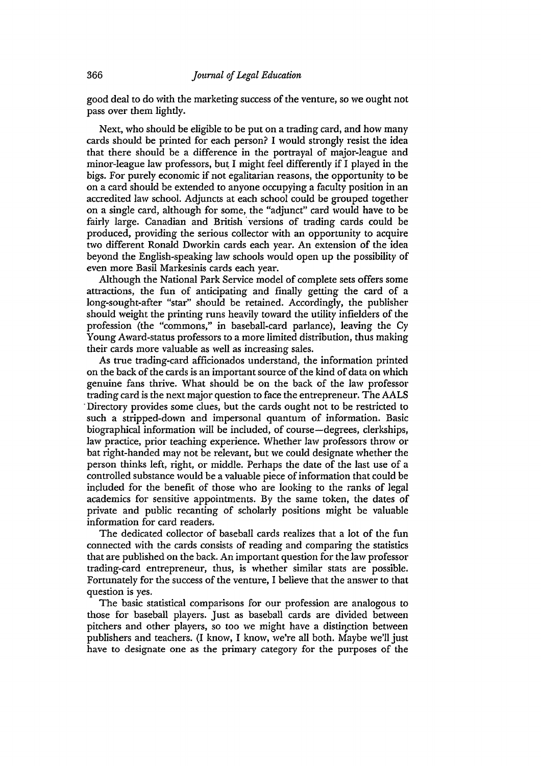good deal to do with the marketing success of the venture, so we ought not pass over them lightly.

Next, who should be eligible to be put on a trading card, and how many cards should be printed for each person? I would strongly resist the idea that there should be a difference in the portrayal of major-league and minor-league law professors, but I might feel differently if I played in the bigs. For purely economic if not egalitarian reasons, the opportunity to be on a card should be extended to anyone occupying a faculty position in an accredited law school. Adjuncts at each school could be grouped together on a single card, although for some, the "adjunct" card would have to be fairly large. Canadian and British 'versions of trading cards could be produced, providing the serious collector with an opportunity to acquire two different Ronald Dworkin cards each year. An extension of the idea beyond the English-speaking law schools would open up the possibility of even more Basil Markesinis cards each year.

Although the National Park Service model of complete sets offers some attractions, the fun of anticipating and finally getting the card of a long-sought-after "star" should be retained. Accordingly, the publisher should weight the printing runs heavily toward the utility infielders of the profession (the "commons," in baseball-card parlance), leaving the Cy Young Award-status professors to a more limited distribution, thus making their cards more valuable as well as increasing sales.

As true trading-card afficionados understand, the information printed on the back of the cards is an important source of the kind of data on which genuine fans thrive. What should be on the back of the law professor trading card is the next major question to face the entrepreneur. The AALS ·Directory provides some clues, but the cards ought not to be restricted to such a stripped-down and impersonal quantum of information. Basic biographical information will be included, of course—degrees, clerkships, law practice, prior teaching experience. Whether law professors throw or bat right-handed may not be relevant, but we could designate whether the person thinks left, right, or middle. Perhaps the date of the last use of a controlled substance would be a valuable piece of information that could be included for the benefit of those who are looking to the ranks of legal academics for sensitive appointments. By the same token, the dates of private and public recanting of scholarly positions might be valuable information for card readers.

The dedicated collector of baseball cards realizes that a lot of the fun connected with the cards consists of reading and comparing the statistics that are published on the back. An important question for the law professor trading-card entrepreneur, thus, is whether similar stats are possible. Fortunately for the success of the venture, I believe that the answer to that question is yes.

The basic statistical comparisons for our profession are analogous to those for baseball players. Just as baseball cards are divided between pitchers and other players, so too we might have a distinction between publishers and teachers. (I know, I know, we're all both. Maybe we'll just have to designate one as the primary category for the purposes of the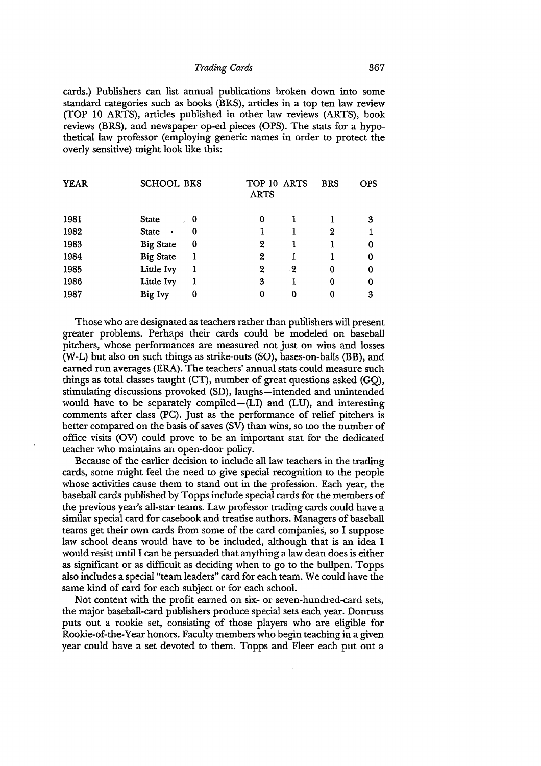#### *Trading Cards* 367

cards.) Publishers can list annual publications broken down into some standard categories such as books (BKS), articles in a top ten law review (TOP 10 ARTS), articles published in other law reviews (ARTS), book reviews (BRS), and newspaper op-ed pieces (OPS). The stats for a hypothetical law professor (employing generic names in order to protect the overly sensitive) might look like this:

|                           |   | <b>ARTS</b>              |           |             | <b>OPS</b> |
|---------------------------|---|--------------------------|-----------|-------------|------------|
| <b>State</b>              |   | 0                        |           |             | 3          |
| <b>State</b><br>$\bullet$ | 0 |                          |           | 2           |            |
| <b>Big State</b>          | 0 | 2                        |           |             | 0          |
| <b>Big State</b>          |   | 2                        |           |             | 0          |
| Little Ivy                |   | 2                        | $\cdot 2$ | 0           | 0          |
| Little Ivy                |   | 3                        |           | 0           | 0          |
| Big Ivy                   | 0 | 0                        | 0         | 0           | 3          |
|                           |   | <b>SCHOOL BKS</b><br>. 0 |           | TOP 10 ARTS | <b>BRS</b> |

Those who are designated as teachers rather than publishers will present greater problems. Perhaps their cards could be modeled on baseball pitchers, whose performances are measured not just on wins and losses (W-L) but also on such things as strike-outs (SO), bases-on-balls (BB), and earned run averages (ERA). The teachers' annual stats could measure such things as total classes taught (CT), number of great questions asked (GQ), stimulating discussions provoked (SD), laughs-intended and unintended would have to be separately compiled-(LI) and (LU), and interesting comments after class (PC). Just as the performance of relief pitchers is better compared on the basis of saves (SV) than wins, so too the number of office visits (OV) could prove to be an important stat for the dedicated teacher who maintains an open-door policy.

Because of the earlier decision to include all law teachers in the trading cards, some might feel the need to give special recognition to the people whose activities cause them to stand out in the profession. Each year, the baseball cards published by Topps include special cards for the members of the previous year's all-star teams. Law professor trading cards could have a similar special card for casebook and treatise authors. Managers of baseball teams get their own cards from some of the card companies, so I suppose law school deans would have to be included, although that is an idea I would resist until I can be persuaded that anything a law dean does is either as significant or as difficult as deciding when to go to the bullpen. Topps also includes a special "team leaders" card for each team. We could have the same kind of card for each subject or for each school.

Not content with the profit earned on six- or seven-hundred-card sets, the major baseball-card publishers produce special sets each year. Donruss puts out a rookie set, consisting of those players who are eligible for Rookie-of-the-Year honors. Faculty members who begin teaching in a given year could have a set devoted to them. Topps and Fleer each put out a